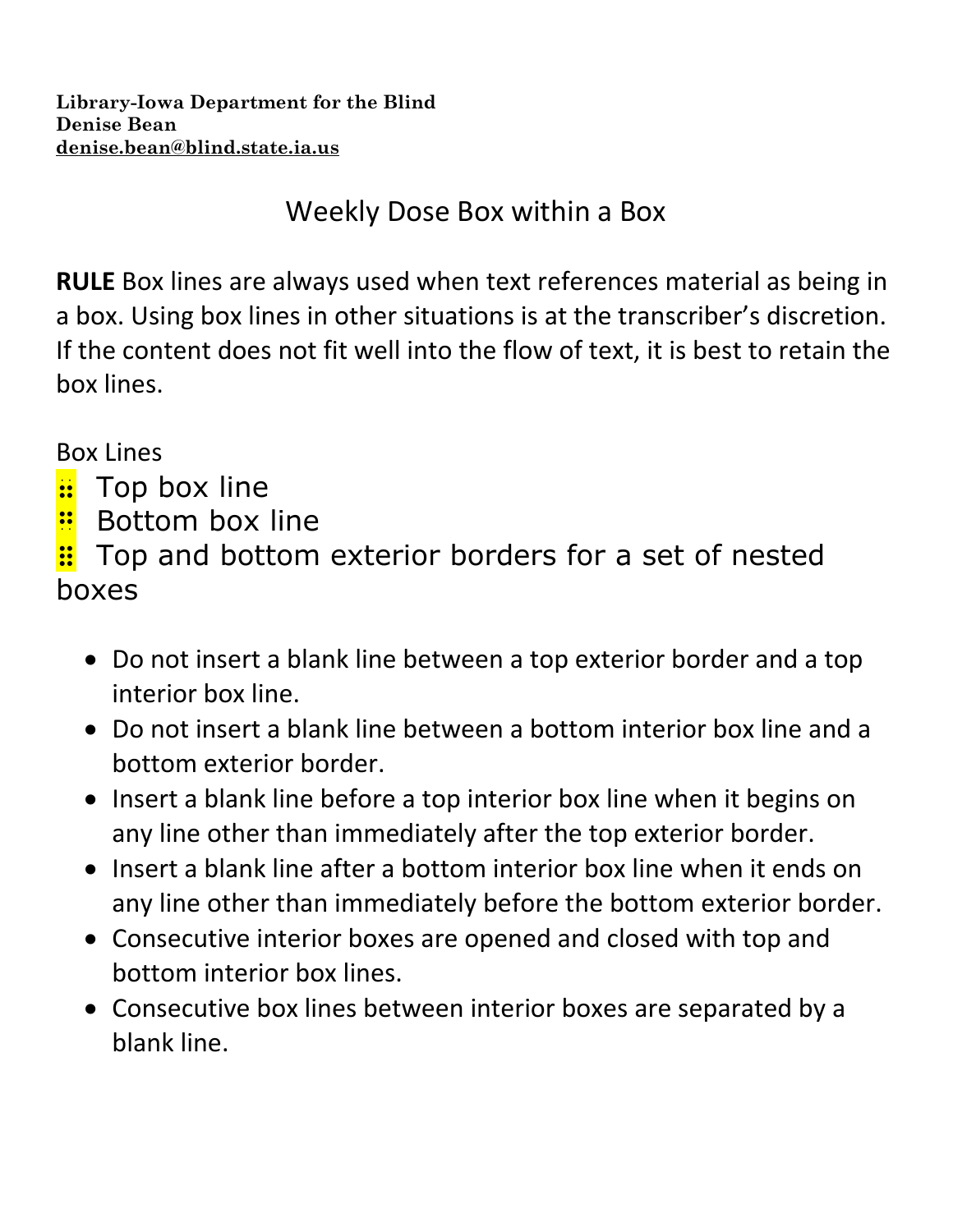Weekly Dose Box within a Box

**RULE** Box lines are always used when text references material as being in a box. Using box lines in other situations is at the transcriber's discretion. If the content does not fit well into the flow of text, it is best to retain the box lines.

Box Lines

- **:** Top box line
- **Bottom box line**

 $\vdots$  Top and bottom exterior borders for a set of nested boxes

- Do not insert a blank line between a top exterior border and a top interior box line.
- Do not insert a blank line between a bottom interior box line and a bottom exterior border.
- Insert a blank line before a top interior box line when it begins on any line other than immediately after the top exterior border.
- Insert a blank line after a bottom interior box line when it ends on any line other than immediately before the bottom exterior border.
- Consecutive interior boxes are opened and closed with top and bottom interior box lines.
- Consecutive box lines between interior boxes are separated by a blank line.